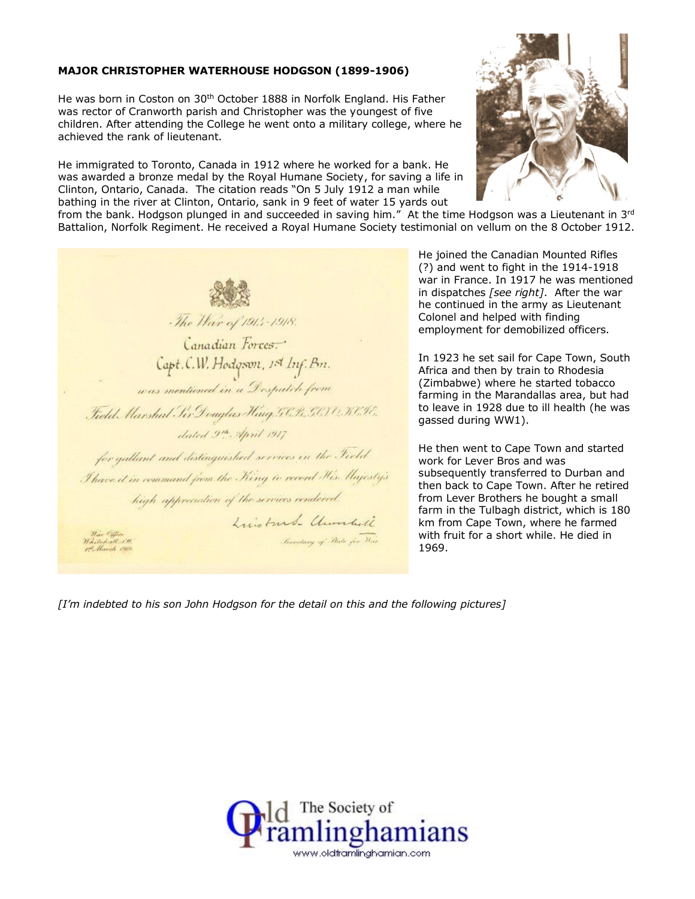## **MAJOR CHRISTOPHER WATERHOUSE HODGSON (1899-1906)**

He was born in Coston on 30<sup>th</sup> October 1888 in Norfolk England. His Father was rector of Cranworth parish and Christopher was the youngest of five children. After attending the College he went onto a military college, where he achieved the rank of lieutenant.

He immigrated to Toronto, Canada in 1912 where he worked for a bank. He was awarded a bronze medal by the Royal Humane Society, for saving a life in Clinton, Ontario, Canada. The citation reads "On 5 July 1912 a man while bathing in the river at Clinton, Ontario, sank in 9 feet of water 15 yards out



from the bank. Hodgson plunged in and succeeded in saving him." At the time Hodgson was a Lieutenant in  $3^{rd}$ Battalion, Norfolk Regiment. He received a Royal Humane Society testimonial on vellum on the 8 October 1912.

The Har of 1914-1918. Canadian Forces. Capt.C.W. Hodgson, 1st Inf. Bn. was mentioned in a Despatch from Field Harshal For Douglas Haig GCB, GGTO KCH. dated 9th April 1917 for gallant and distinguished services in the Field. I have it in command from the King to recent His Majesty's high appreciation of the services rendered. Luisburg- Chumbell Josephery of Pate for War

He joined the Canadian Mounted Rifles (?) and went to fight in the 1914-1918 war in France. In 1917 he was mentioned in dispatches *[see right]*. After the war he continued in the army as Lieutenant Colonel and helped with finding employment for demobilized officers.

In 1923 he set sail for Cape Town, South Africa and then by train to Rhodesia (Zimbabwe) where he started tobacco farming in the Marandallas area, but had to leave in 1928 due to ill health (he was gassed during WW1).

He then went to Cape Town and started work for Lever Bros and was subsequently transferred to Durban and then back to Cape Town. After he retired from Lever Brothers he bought a small farm in the Tulbagh district, which is 180 km from Cape Town, where he farmed with fruit for a short while. He died in 1969.

*[I'm indebted to his son John Hodgson for the detail on this and the following pictures]*